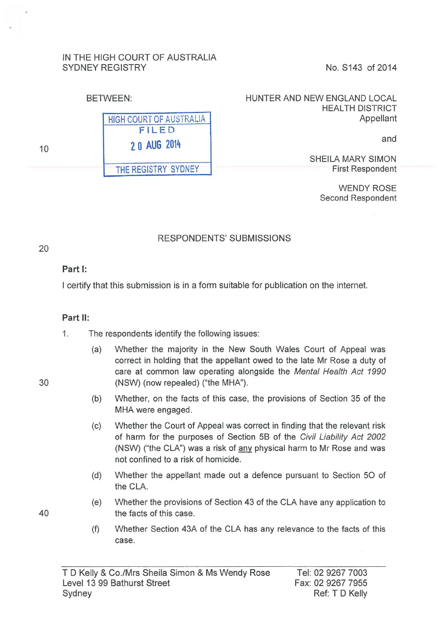#### IN THE HIGH COURT OF AUSTRALIA SYDNEY REGISTRY No. S143 of 2014

| <b>BETWEEN:</b> |                                | HUNTER AND NEW ENGLAND LOCAL<br><b>HEALTH DISTRICT</b> |
|-----------------|--------------------------------|--------------------------------------------------------|
|                 | <b>HIGH COURT OF AUSTRALIA</b> | Appellant                                              |
| 10              | FILED<br>20 AUG 2014           | and                                                    |
|                 | THE REGISTRY SYDNEY            | SHEILA MARY SIMON<br><b>First Respondent</b>           |

WENDY ROSE Second Respondent

## RESPONDENTS' SUBMISSIONS

#### **Part 1:**

I certify that this submission is in a form suitable for publication on the internet.

#### **Part II:**

- 1. The respondents identify the following issues:
- (a) Whether the majority in the New South Wales Court of Appeal was correct in holding that the appellant owed to the late Mr Rose a duty of care at common law operating alongside the Mental Health Act 1990 30 (NSW) (now repealed) ("the MHA").
	- (b) Whether, on the facts of this case, the provisions of Section 35 of the MHA were engaged.
	- (c) Whether the Court of Appeal was correct in finding that the relevant risk of harm for the purposes of Section 58 of the Civil Liability Act 2002 (NSW) ("the CLA") was a risk of any physical harm to Mr Rose and was not confined to a risk of homicide.
	- (d) Whether the appellant made out a defence pursuant to Section 50 of the CLA.
- (e) Whether the provisions of Section 43 of the CLA have any application to 40 the facts of this case.
	- (f) Whether Section 43A of the CLA has any relevance to the facts of this case.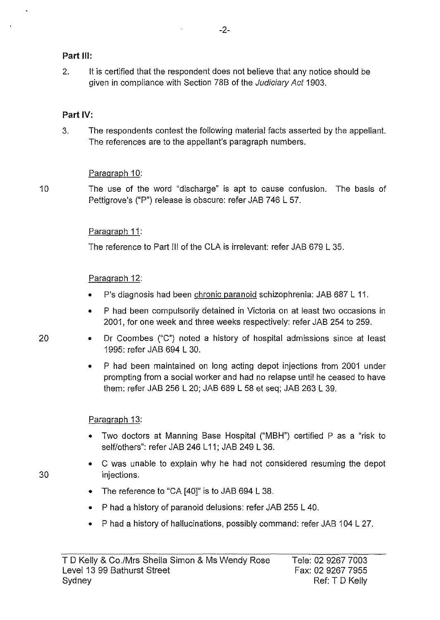### **Part Ill:**

2. It is certified that the respondent does not believe that any notice should be given in compliance with Section 78B of the Judiciary Act 1903.

### **Part IV:**

3. The respondents contest the following material facts asserted by the appellant. The references are to the appellant's paragraph numbers.

### Paragraph 10:

10 The use of the word "discharge" is apt to cause confusion. The basis of Pettigrove's ("P") release is obscure: refer JAB 746 L 57.

## Paragraph 11:

The reference to Part Ill of the CLA is irrelevant: refer JAB 679 L 35.

### Paragraph 12:

- P's diagnosis had been chronic paranoid schizophrenia: JAB 687 L 11.
- P had been compulsorily detained in Victoria on at least two occasions in 2001, for one week and three weeks respectively: refer JAB 254 to 259.
- 20 Dr Coombes ("C") noted a history of hospital admissions since at least 1995: refer JAB 694 L 30.
	- P had been maintained on long acting depot injections from 2001 under prompting from a social worker and had no relapse until he ceased to have them: refer JAB 256 L 20; JAB 689 L 58 et seq; JAB 263 L 39.

### Paragraph 13:

- Two doctors at Manning Base Hospital ("MBH") certified P as a "risk to self/others": refer JAB 246 L11; JAB 249 L 36.
- C was unable to explain why he had not considered resuming the depot injections.
- The reference to "CA [40]" is to JAB 694 L 38.
- P had a history of paranoid delusions: refer JAB 255 L 40.
- P had a history of hallucinations, possibly command: refer JAB 104 L 27.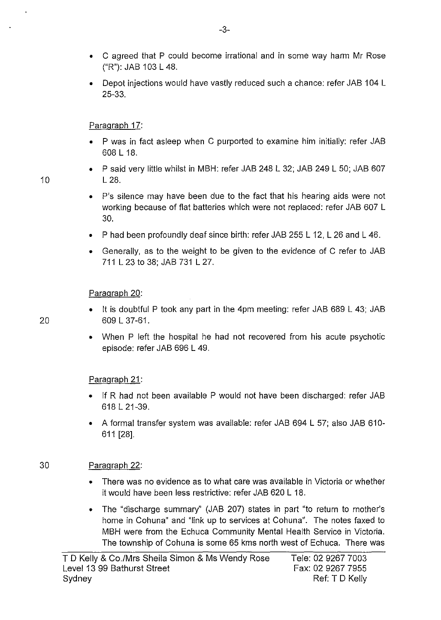- C agreed that P could become irrational and in some way harm Mr Rose ("R"): JAB 103 L 48.
- Depot injections would have vastly reduced such a chance: refer JAB 104 L 25-33.

Paragraph 17:

- P was in fact asleep when C purported to examine him initially: refer JAB 608 L 18.
- P said very little whilst in MBH: refer JAB 248 L 32; JAB 249 L 50; JAB 607 10 L 28.
	- P's silence may have been due to the fact that his hearing aids were not working because of flat batteries which were not replaced: refer JAB 607 L 30.
	- P had been profoundly deaf since birth: refer JAB 255 L 12, L 26 and L 46.
	- Generally, as to the weight to be given to the evidence of C refer to JAB 711 L 23 to 38; JAB 731 L 27.

Paragraph 20:

- It is doubtful P took any part in the 4pm meeting: refer JAB 689 L 43; JAB 20 609 L 37-61.
	- When P left the hospital he had not recovered from his acute psychotic episode: refer JAB 696 L 49.

Paragraph 21:

- If R had not been available P would not have been discharged: refer JAB 618 L 21-39.
- A formal transfer system was available: refer JAB 694 L 57; also JAB 610- 611 [28].

# 30 Paragraph 22:

- There was no evidence as to what care was available in Victoria or whether it would have been less restrictive: refer JAB 620 L 18.
- The "discharge summary" (JAB 207) states in part "to return to mother's home in Cohuna" and "link up to services at Cohuna". The notes faxed to MBH were from the Echuca Community Mental Health Service in Victoria. The township of Cohuna is some 65 kms north west of Echuca. There was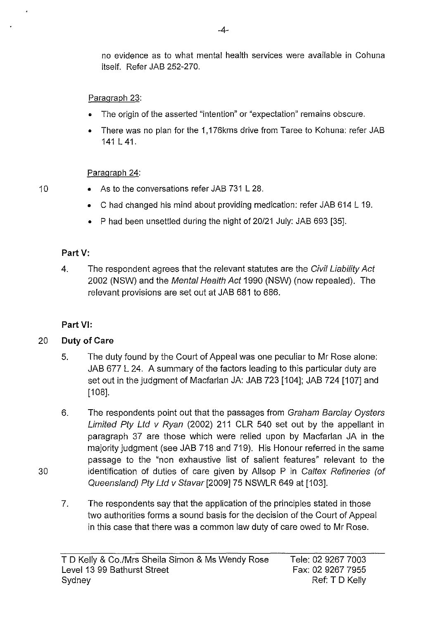no evidence as to what mental health services were available in Cohuna itself. Refer JAB 252-270.

## Paragraph 23:

- The origin of the asserted "intention" or "expectation" remains obscure.
- There was no plan for the 1, 176kms drive from Taree to Kohuna: refer JAB 141L41.

## Paragraph 24:

- 10 As to the conversations refer JAB 731 L 28.
	- Chad changed his mind about providing medication: refer JAB 614 L 19.
	- P had been unsettled during the night of 20/21 July: JAB 693 [35].

# **Part V:**

4. The respondent agrees that the relevant statutes are the Civil Liability Act 2002 (NSW) and the Mental Health Act 1990 (NSW) (now repealed). The relevant provisions are set out at JAB 681 to 686.

# **Part VI:**

# 20 **Duty of Care**

30

- 5. The duty found by the Court of Appeal was one peculiar to Mr Rose alone: JAB 677 L 24. A summary of the factors leading to this particular duty are set out in the judgment of Macfarlan JA: JAB 723 [104]; JAB 724 [107] and  $[108]$ .
- 6. The respondents point out that the passages from Graham Barclay Oysters Limited Pty Ltd v Ryan (2002) 211 CLR 540 set out by the appellant in paragraph 37 are those which were relied upon by Macfarlan JA in the majority judgment (see JAB 718 and 719). His Honour referred in the same passage to the "non exhaustive list of salient features" relevant to the identification of duties of care given by Allsop P in Caltex Refineries (of Queensland) Pty Ltd v Stavar [2009] 75 NSWLR 649 at [103].
- 7. The respondents say that the application of the principles stated in those two authorities forms a sound basis for the decision of the Court of Appeal in this case that there was a common law duty of care owed to Mr Rose.

Tele: 02 9267 7003 Fax: 02 9267 7955 Ref: T D Kelly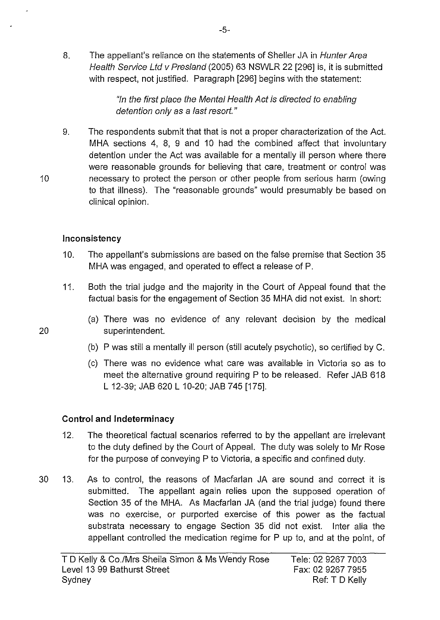8. The appellant's reliance on the statements of Sheller JA in Hunter Area Health Service Ltd v Pres/and (2005) 63 NSWLR 22 [296] is, it is submitted with respect, not justified. Paragraph [296] begins with the statement:

> "In the first place the Mental Health Act is directed to enabling detention only as a last resort."

9. The respondents submit that that is not a proper characterization of the Act. MHA sections 4, 8, 9 and 10 had the combined affect that involuntary detention under the Act was available for a mentally ill person where there were reasonable grounds for believing that care, treatment or control was necessary to protect the person or other people from serious harm (owing to that illness). The "reasonable grounds" would presumably be based on clinical opinion.

## **Inconsistency**

- 10. The appellant's submissions are based on the false premise that Section 35 MHA was engaged, and operated to effect a release of P.
- 11. Both the trial judge and the majority in the Court of Appeal found that the factual basis for the engagement of Section 35 MHA did not exist. In short:
- (a) There was no evidence of any relevant decision by the medical 20 superintendent.
	- (b) P was still a mentally ill person (still acutely psychotic), so certified by C.
	- (c) There was no evidence what care was available in Victoria so as to meet the alternative ground requiring P to be released. Refer JAB 618 L 12-39; JAB 620 L 10-20; JAB 745 [175].

## **Control and Indeterminacy**

- 12. The theoretical factual scenarios referred to by the appellant are irrelevant to the duty defined by the Court of Appeal. The duty was solely to Mr Rose for the purpose of conveying P to Victoria, a specific and confined duty.
- 30 13. As to control, the reasons of Macfarlan JA are sound and correct it is submitted. The appellant again relies upon the supposed operation of Section 35 of the MHA. As Macfarlan JA (and the trial judge) found there was no exercise, or purported exercise of this power as the factual substrata necessary to engage Section 35 did not exist. Inter alia the appellant controlled the medication regime for P up to, and at the point, of

10

-5-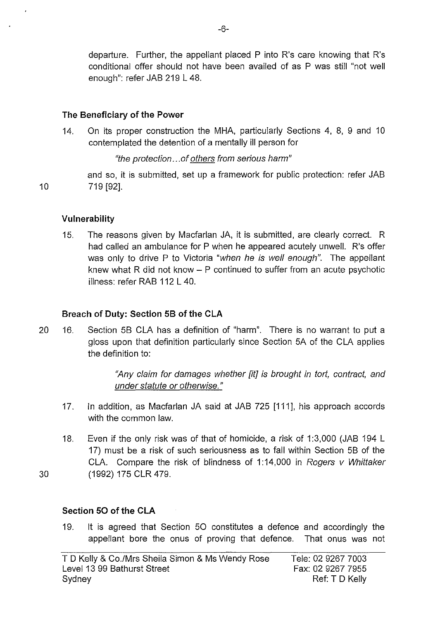departure. Further, the appellant placed P into R's care knowing that R's conditional offer should not have been availed of as P was still "not well enough": refer JAB 219 L 48.

### **The Beneficiary of the Power**

14. On its proper construction the MHA, particularly Sections 4, 8, 9 and 10 contemplated the detention of a mentally ill person for

"the protection ... of others from serious harm"

and so, it is submitted, set up a framework for public protection: refer JAB 10 719 [92].

**Vulnerability** 

15. The reasons given by Macfarlan JA, it is submitted, are clearly correct. R had called an ambulance for P when he appeared acutely unwell. R's offer was only to drive P to Victoria "when he is well enough". The appellant knew what R did not know  $-$  P continued to suffer from an acute psychotic illness: refer RAB 112 L 40.

## **Breach of Duty: Section 58 of the CLA**

20 16. Section 58 CLA has a definition of "harm". There is no warrant to put a gloss upon that definition particularly since Section 5A of the CLA applies the definition to:

> "Any claim for damages whether [it] is brought in tort, contract, and under statute or otherwise."

- 17. In addition, as Macfarlan JA said at JAB 725 [111], his approach accords with the common law.
- 18. Even if the only risk was of that of homicide, a risk of 1 :3,000 (JAB 194 L 17) must be a risk of such seriousness as to fall within Section 58 of the CLA. Compare the risk of blindness of 1:14,000 in Rogers v Whittaker 30 (1992) 175 CLR 479.

## **Section 50 of the CLA**

19. It is agreed that Section 50 constitutes a defence and accordingly the appellant bore the onus of proving that defence. That onus was not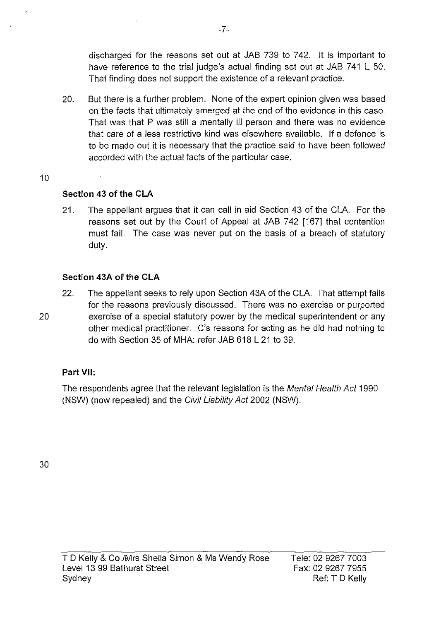discharged for the reasons set out at JAB 739 to 742. It is important to have reference to the trial judge's actual finding set out at JAB 741 L 50. That finding does not support the existence of a relevant practice.

- 20. But there is a further problem. None of the expert opinion given was based on the facts that ultimately emerged at the end of the evidence in this case. That was that P was still a mentally ill person and there was no evidence that care of a less restrictive kind was elsewhere available. If a defence is to be made out it is necessary that the practice said to have been followed accorded with the actual facts of the particular case.
- 10

### **Section 43 of the CLA**

21. The appellant argues that it can call in aid Section 43 of the CLA. For the reasons set out by the Court of Appeal at JAB 742 [167] that contention must fail. The case was never put on the basis of a breach of statutory duty.

### **Section 43A of the CLA**

22. The appellant seeks to rely upon Section 43A of the CLA. That attempt fails for the reasons previously discussed. There was no exercise or purported 20 exercise of a special statutory power by the medical superintendent or any other medical practitioner. C's reasons for acting as he did had nothing to do with Section 35 of MHA: refer JAB 618 L 21 to 39.

### **Part VII:**

The respondents agree that the relevant legislation is the Mental Health Act 1990 (NSW) (now repealed) and the Civil Liability Act 2002 (NSW).